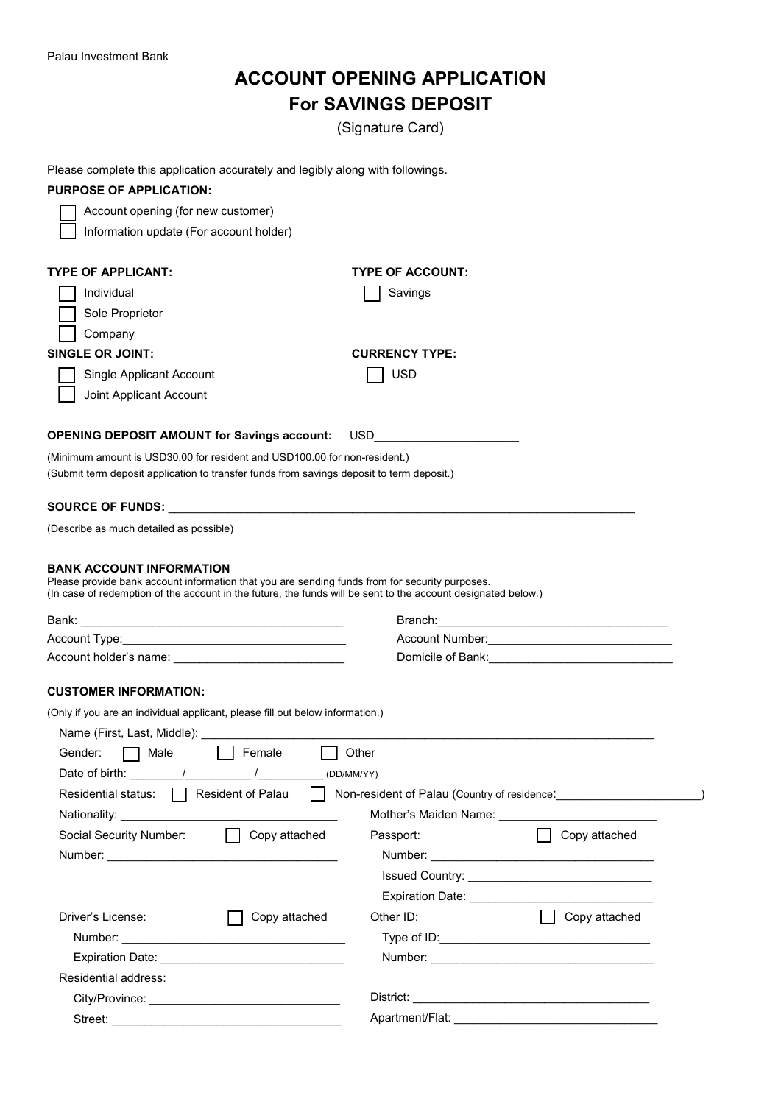## **ACCOUNT OPENING APPLICATION For SAVINGS DEPOSIT**

(Signature Card)

|  |  |  | Please complete this application accurately and legibly along with followings. |
|--|--|--|--------------------------------------------------------------------------------|
|  |  |  |                                                                                |

| Ficase complete this application accurately and legibly along with followings.                                                                                                                                                                     |                                                   |  |  |
|----------------------------------------------------------------------------------------------------------------------------------------------------------------------------------------------------------------------------------------------------|---------------------------------------------------|--|--|
| <b>PURPOSE OF APPLICATION:</b>                                                                                                                                                                                                                     |                                                   |  |  |
| Account opening (for new customer)                                                                                                                                                                                                                 |                                                   |  |  |
| Information update (For account holder)                                                                                                                                                                                                            |                                                   |  |  |
| <b>TYPE OF APPLICANT:</b>                                                                                                                                                                                                                          | <b>TYPE OF ACCOUNT:</b>                           |  |  |
| Individual                                                                                                                                                                                                                                         | Savings                                           |  |  |
|                                                                                                                                                                                                                                                    |                                                   |  |  |
| Sole Proprietor                                                                                                                                                                                                                                    |                                                   |  |  |
| Company                                                                                                                                                                                                                                            |                                                   |  |  |
| <b>SINGLE OR JOINT:</b>                                                                                                                                                                                                                            | <b>CURRENCY TYPE:</b>                             |  |  |
| Single Applicant Account                                                                                                                                                                                                                           | <b>USD</b>                                        |  |  |
| Joint Applicant Account                                                                                                                                                                                                                            |                                                   |  |  |
|                                                                                                                                                                                                                                                    |                                                   |  |  |
| <b>OPENING DEPOSIT AMOUNT for Savings account:</b>                                                                                                                                                                                                 | USD<br><u> 1980 - Andrea Andrew Maria Barat (</u> |  |  |
| (Minimum amount is USD30.00 for resident and USD100.00 for non-resident.)<br>(Submit term deposit application to transfer funds from savings deposit to term deposit.)                                                                             |                                                   |  |  |
|                                                                                                                                                                                                                                                    |                                                   |  |  |
| <b>SOURCE OF FUNDS:</b>                                                                                                                                                                                                                            |                                                   |  |  |
| (Describe as much detailed as possible)                                                                                                                                                                                                            |                                                   |  |  |
|                                                                                                                                                                                                                                                    |                                                   |  |  |
| <b>BANK ACCOUNT INFORMATION</b><br>Please provide bank account information that you are sending funds from for security purposes.<br>(In case of redemption of the account in the future, the funds will be sent to the account designated below.) |                                                   |  |  |
|                                                                                                                                                                                                                                                    |                                                   |  |  |
|                                                                                                                                                                                                                                                    |                                                   |  |  |
|                                                                                                                                                                                                                                                    |                                                   |  |  |
| <b>CUSTOMER INFORMATION:</b>                                                                                                                                                                                                                       |                                                   |  |  |
|                                                                                                                                                                                                                                                    |                                                   |  |  |
| (Only if you are an individual applicant, please fill out below information.)                                                                                                                                                                      |                                                   |  |  |
| Name (First, Last, Middle): ___________                                                                                                                                                                                                            |                                                   |  |  |
| Gender:<br>Male<br>Female                                                                                                                                                                                                                          | Other                                             |  |  |
| Date of birth: $\sqrt{2}$                                                                                                                                                                                                                          | (DD/MM/YY)                                        |  |  |
| Residential status: $\Box$ Resident of Palau<br>$\mathbf{1}$                                                                                                                                                                                       |                                                   |  |  |
|                                                                                                                                                                                                                                                    |                                                   |  |  |
| Social Security Number:<br>$\Box$ Copy attached                                                                                                                                                                                                    | <b>Copy attached</b><br>Passport:                 |  |  |
|                                                                                                                                                                                                                                                    |                                                   |  |  |
|                                                                                                                                                                                                                                                    |                                                   |  |  |
|                                                                                                                                                                                                                                                    |                                                   |  |  |
| Driver's License:<br>Copy attached                                                                                                                                                                                                                 | □ Copy attached<br>Other ID:                      |  |  |
|                                                                                                                                                                                                                                                    |                                                   |  |  |
|                                                                                                                                                                                                                                                    |                                                   |  |  |
| Residential address:                                                                                                                                                                                                                               |                                                   |  |  |
|                                                                                                                                                                                                                                                    |                                                   |  |  |
|                                                                                                                                                                                                                                                    |                                                   |  |  |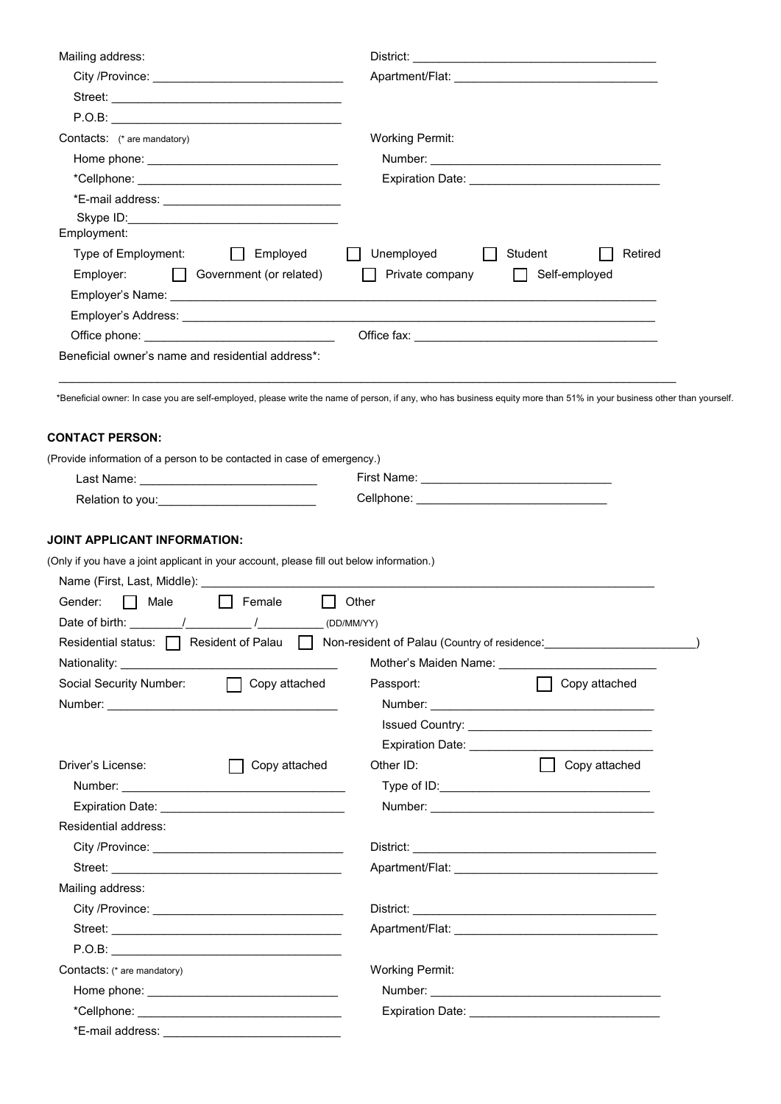| Mailing address:                                                                                                                                                       |               | District:              |                                                            |         |
|------------------------------------------------------------------------------------------------------------------------------------------------------------------------|---------------|------------------------|------------------------------------------------------------|---------|
|                                                                                                                                                                        |               |                        |                                                            |         |
|                                                                                                                                                                        |               |                        |                                                            |         |
|                                                                                                                                                                        |               |                        |                                                            |         |
| Contacts: (* are mandatory)                                                                                                                                            |               | <b>Working Permit:</b> |                                                            |         |
|                                                                                                                                                                        |               |                        |                                                            |         |
|                                                                                                                                                                        |               |                        |                                                            |         |
|                                                                                                                                                                        |               |                        |                                                            |         |
|                                                                                                                                                                        |               |                        |                                                            |         |
| Employment:                                                                                                                                                            |               |                        |                                                            |         |
| $\Box$ Employed<br>Type of Employment:                                                                                                                                 |               | Unemployed             | Student                                                    | Retired |
| Government (or related)<br>Employer:                                                                                                                                   |               | Private company        | Self-employed<br>$\perp$                                   |         |
|                                                                                                                                                                        |               |                        |                                                            |         |
|                                                                                                                                                                        |               |                        |                                                            |         |
|                                                                                                                                                                        |               |                        |                                                            |         |
| Beneficial owner's name and residential address*:                                                                                                                      |               |                        |                                                            |         |
| *Beneficial owner: In case you are self-employed, please write the name of person, if any, who has business equity more than 51% in your business other than yourself. |               |                        |                                                            |         |
| <b>CONTACT PERSON:</b>                                                                                                                                                 |               |                        |                                                            |         |
| (Provide information of a person to be contacted in case of emergency.)                                                                                                |               |                        |                                                            |         |
| Last Name: _______________________________                                                                                                                             |               |                        |                                                            |         |
| Relation to you: _______________________________                                                                                                                       |               |                        |                                                            |         |
| Name (First, Last, Middle): <b>Analyzia and American control of the Control</b> of the Control of the Control of the Co<br>  Female<br>Gender:<br>$\mathbf{L}$<br>Male |               | Other                  |                                                            |         |
|                                                                                                                                                                        |               |                        |                                                            |         |
|                                                                                                                                                                        |               |                        |                                                            |         |
| $\Box$ Copy attached                                                                                                                                                   |               |                        |                                                            |         |
| Social Security Number:                                                                                                                                                |               | Passport:              | Copy attached                                              |         |
|                                                                                                                                                                        |               |                        |                                                            |         |
|                                                                                                                                                                        |               |                        | Issued Country: <u>___________________________________</u> |         |
|                                                                                                                                                                        |               |                        |                                                            |         |
| Driver's License:                                                                                                                                                      | Copy attached | Other ID:              | Copy attached                                              |         |
|                                                                                                                                                                        |               |                        |                                                            |         |
|                                                                                                                                                                        |               |                        |                                                            |         |
| Residential address:                                                                                                                                                   |               |                        |                                                            |         |
|                                                                                                                                                                        |               |                        |                                                            |         |
| Mailing address:                                                                                                                                                       |               |                        |                                                            |         |
|                                                                                                                                                                        |               |                        |                                                            |         |
|                                                                                                                                                                        |               |                        |                                                            |         |
|                                                                                                                                                                        |               |                        |                                                            |         |
|                                                                                                                                                                        |               |                        |                                                            |         |
| Contacts: (* are mandatory)                                                                                                                                            |               | <b>Working Permit:</b> |                                                            |         |
|                                                                                                                                                                        |               |                        |                                                            |         |
|                                                                                                                                                                        |               |                        |                                                            |         |
| *E-mail address:                                                                                                                                                       |               |                        |                                                            |         |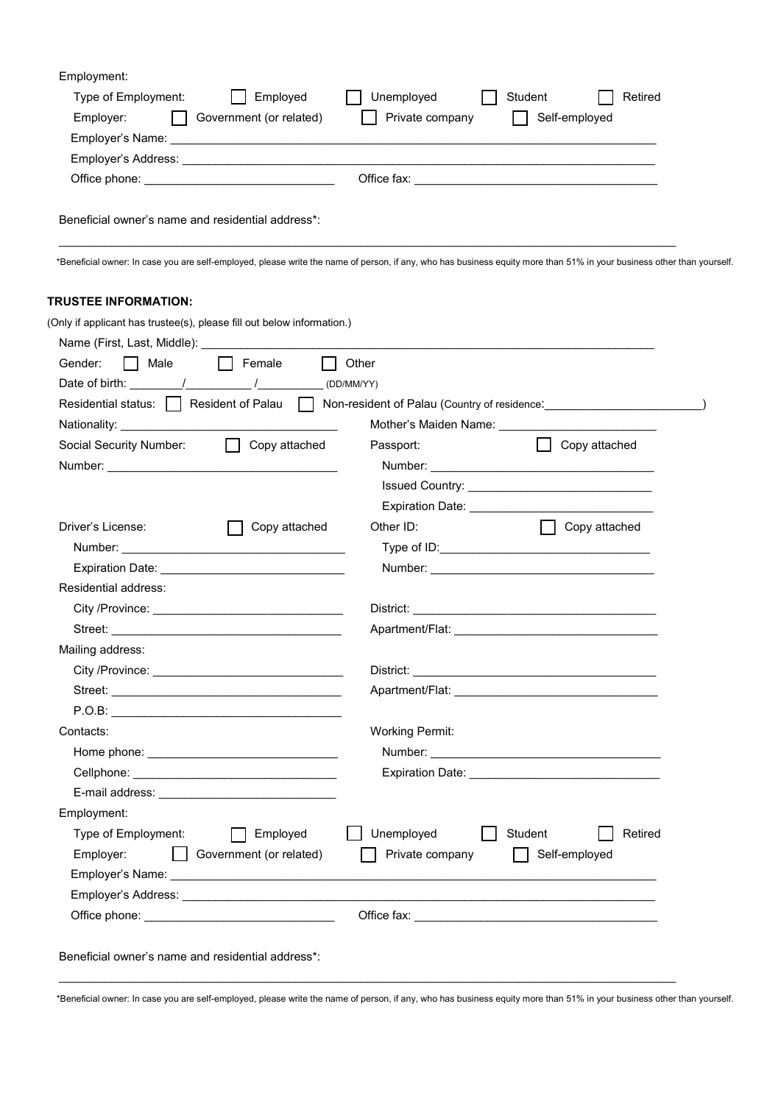| Employment:<br>Employed<br>Type of Employment:                         | Unemployed<br>Student<br>Retired                                                                                                                                       |
|------------------------------------------------------------------------|------------------------------------------------------------------------------------------------------------------------------------------------------------------------|
| Employer:<br>  Government (or related)                                 | Self-employed<br>Private company                                                                                                                                       |
|                                                                        |                                                                                                                                                                        |
|                                                                        |                                                                                                                                                                        |
|                                                                        |                                                                                                                                                                        |
|                                                                        |                                                                                                                                                                        |
| Beneficial owner's name and residential address*:                      |                                                                                                                                                                        |
|                                                                        | *Beneficial owner: In case you are self-employed, please write the name of person, if any, who has business equity more than 51% in your business other than yourself. |
| <b>TRUSTEE INFORMATION:</b>                                            |                                                                                                                                                                        |
| (Only if applicant has trustee(s), please fill out below information.) |                                                                                                                                                                        |
|                                                                        |                                                                                                                                                                        |
| $\Box$ Female<br>Gender:<br>$\Box$ Male                                | Other                                                                                                                                                                  |
|                                                                        |                                                                                                                                                                        |
|                                                                        | Residential status:   Resident of Palau   Non-resident of Palau (Country of residence: Non-residence Non-                                                              |
|                                                                        |                                                                                                                                                                        |
| Social Security Number:<br>  Copy attached                             | Passport:<br>$\Box$ Copy attached                                                                                                                                      |
|                                                                        |                                                                                                                                                                        |
|                                                                        |                                                                                                                                                                        |
|                                                                        |                                                                                                                                                                        |
| Driver's License:<br>Copy attached                                     | Other ID:<br>  Copy attached                                                                                                                                           |
|                                                                        |                                                                                                                                                                        |
|                                                                        |                                                                                                                                                                        |
| Residential address:                                                   |                                                                                                                                                                        |
|                                                                        |                                                                                                                                                                        |
|                                                                        |                                                                                                                                                                        |
| Mailing address:                                                       |                                                                                                                                                                        |
|                                                                        |                                                                                                                                                                        |
|                                                                        |                                                                                                                                                                        |
|                                                                        |                                                                                                                                                                        |
| Contacts:                                                              | <b>Working Permit:</b>                                                                                                                                                 |
|                                                                        |                                                                                                                                                                        |
|                                                                        |                                                                                                                                                                        |
|                                                                        |                                                                                                                                                                        |
| Employment:                                                            |                                                                                                                                                                        |
| Type of Employment:<br>Employed                                        | Unemployed<br>Student<br>Retired                                                                                                                                       |
|                                                                        |                                                                                                                                                                        |
| Government (or related)<br>Employer:                                   | Private company<br>Self-employed<br>$\mathbf{L}$                                                                                                                       |
|                                                                        |                                                                                                                                                                        |
|                                                                        |                                                                                                                                                                        |

\*Beneficial owner: In case you are self-employed, please write the name of person, if any, who has business equity more than 51% in your business other than yourself.

 $\_$  , and the contribution of the contribution of the contribution of the contribution of  $\mathcal{L}_\text{max}$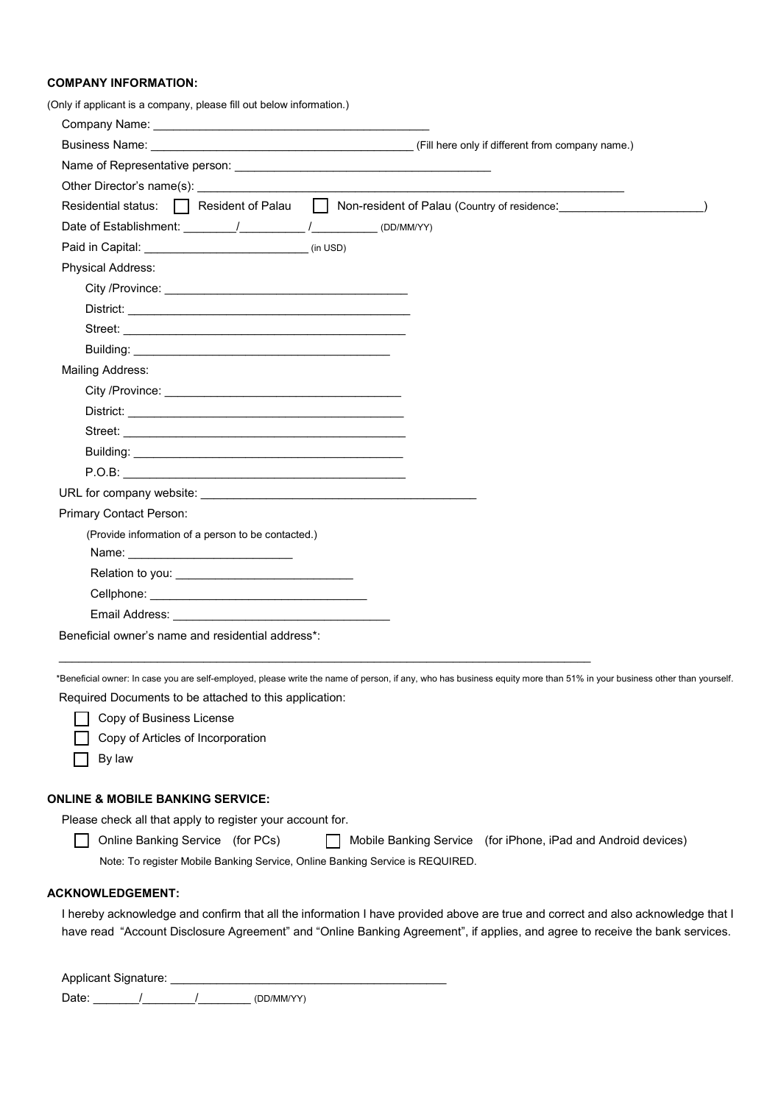## **COMPANY INFORMATION:**

| (Only if applicant is a company, please fill out below information.)                                                                                                                                                                |  |
|-------------------------------------------------------------------------------------------------------------------------------------------------------------------------------------------------------------------------------------|--|
|                                                                                                                                                                                                                                     |  |
| Business Name: Company is a state of the Subset of the Company is a state of the Subset of the Subset of the Su                                                                                                                     |  |
|                                                                                                                                                                                                                                     |  |
|                                                                                                                                                                                                                                     |  |
| Residential status: Resident of Palau Non-resident of Palau (Country of residence:                                                                                                                                                  |  |
|                                                                                                                                                                                                                                     |  |
|                                                                                                                                                                                                                                     |  |
| Physical Address:                                                                                                                                                                                                                   |  |
|                                                                                                                                                                                                                                     |  |
|                                                                                                                                                                                                                                     |  |
|                                                                                                                                                                                                                                     |  |
|                                                                                                                                                                                                                                     |  |
| <b>Mailing Address:</b>                                                                                                                                                                                                             |  |
|                                                                                                                                                                                                                                     |  |
| District: <b>District:</b> the contract of the contract of the contract of the contract of the contract of the contract of the contract of the contract of the contract of the contract of the contract of the contract of the cont |  |
|                                                                                                                                                                                                                                     |  |
|                                                                                                                                                                                                                                     |  |
|                                                                                                                                                                                                                                     |  |
|                                                                                                                                                                                                                                     |  |
| Primary Contact Person:                                                                                                                                                                                                             |  |
| (Provide information of a person to be contacted.)                                                                                                                                                                                  |  |
|                                                                                                                                                                                                                                     |  |
| Relation to you: the contract of the contract of the contract of the contract of the contract of the contract o                                                                                                                     |  |
|                                                                                                                                                                                                                                     |  |
|                                                                                                                                                                                                                                     |  |
| Beneficial owner's name and residential address*:                                                                                                                                                                                   |  |
| *Beneficial owner: In case you are self-employed, please write the name of person, if any, who has business equity more than 51% in your business other than yourself                                                               |  |
| Required Documents to be attached to this application:                                                                                                                                                                              |  |
| Copy of Business License                                                                                                                                                                                                            |  |
| Copy of Articles of Incorporation                                                                                                                                                                                                   |  |
| By law                                                                                                                                                                                                                              |  |

## **ONLINE & MOBILE BANKING SERVICE:**

Please check all that apply to register your account for.

 Online Banking Service (for PCs) Mobile Banking Service (for iPhone, iPad and Android devices) Note: To register Mobile Banking Service, Online Banking Service is REQUIRED.

## **ACKNOWLEDGEMENT:**

I hereby acknowledge and confirm that all the information I have provided above are true and correct and also acknowledge that I have read "Account Disclosure Agreement" and "Online Banking Agreement", if applies, and agree to receive the bank services.

Applicant Signature: \_\_\_\_\_\_\_\_\_\_\_\_\_\_\_\_\_\_\_\_\_\_\_\_\_\_\_\_\_\_\_\_\_\_\_\_\_\_\_\_\_\_

Date: \_\_\_\_\_\_\_/\_\_\_\_\_\_\_\_/\_\_\_\_\_\_\_\_ (DD/MM/YY)